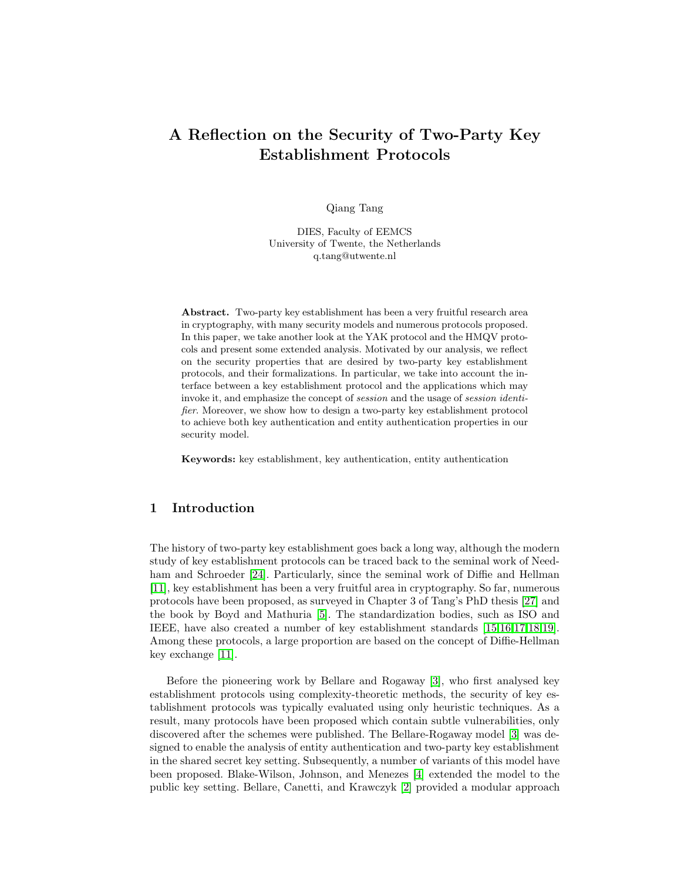# A Reflection on the Security of Two-Party Key Establishment Protocols

Qiang Tang

DIES, Faculty of EEMCS University of Twente, the Netherlands q.tang@utwente.nl

Abstract. Two-party key establishment has been a very fruitful research area in cryptography, with many security models and numerous protocols proposed. In this paper, we take another look at the YAK protocol and the HMQV protocols and present some extended analysis. Motivated by our analysis, we reflect on the security properties that are desired by two-party key establishment protocols, and their formalizations. In particular, we take into account the interface between a key establishment protocol and the applications which may invoke it, and emphasize the concept of session and the usage of session identifier. Moreover, we show how to design a two-party key establishment protocol to achieve both key authentication and entity authentication properties in our security model.

Keywords: key establishment, key authentication, entity authentication

# 1 Introduction

The history of two-party key establishment goes back a long way, although the modern study of key establishment protocols can be traced back to the seminal work of Needham and Schroeder [\[24\]](#page-17-0). Particularly, since the seminal work of Diffie and Hellman [\[11\]](#page-16-0), key establishment has been a very fruitful area in cryptography. So far, numerous protocols have been proposed, as surveyed in Chapter 3 of Tang's PhD thesis [\[27\]](#page-17-1) and the book by Boyd and Mathuria [\[5\]](#page-16-1). The standardization bodies, such as ISO and IEEE, have also created a number of key establishment standards [\[15,](#page-16-2)[16,](#page-16-3)[17](#page-16-4)[,18,](#page-16-5)[19\]](#page-17-2). Among these protocols, a large proportion are based on the concept of Diffie-Hellman key exchange [\[11\]](#page-16-0).

Before the pioneering work by Bellare and Rogaway [\[3\]](#page-16-6), who first analysed key establishment protocols using complexity-theoretic methods, the security of key establishment protocols was typically evaluated using only heuristic techniques. As a result, many protocols have been proposed which contain subtle vulnerabilities, only discovered after the schemes were published. The Bellare-Rogaway model [\[3\]](#page-16-6) was designed to enable the analysis of entity authentication and two-party key establishment in the shared secret key setting. Subsequently, a number of variants of this model have been proposed. Blake-Wilson, Johnson, and Menezes [\[4\]](#page-16-7) extended the model to the public key setting. Bellare, Canetti, and Krawczyk [\[2\]](#page-16-8) provided a modular approach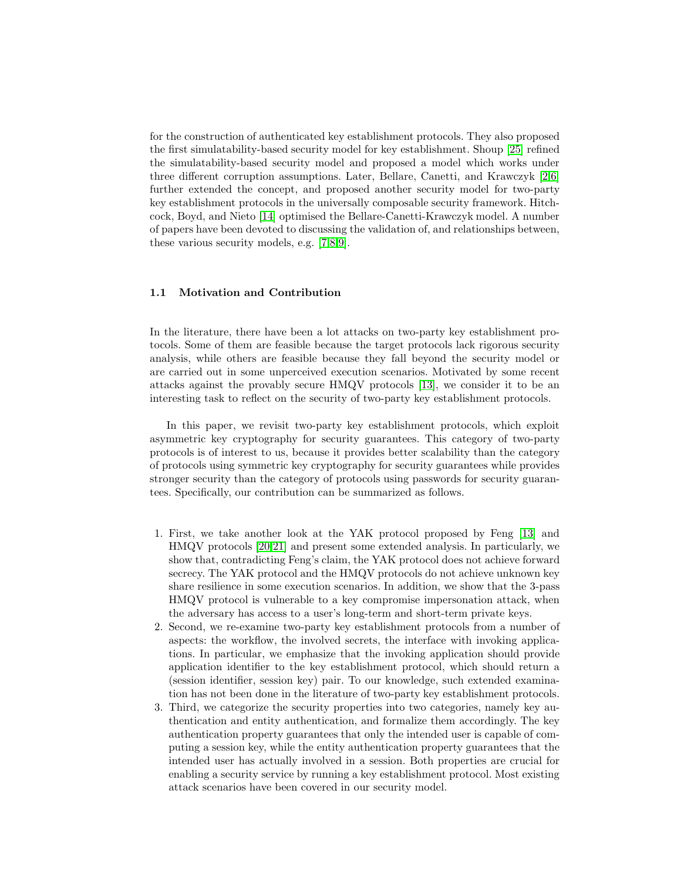for the construction of authenticated key establishment protocols. They also proposed the first simulatability-based security model for key establishment. Shoup [\[25\]](#page-17-3) refined the simulatability-based security model and proposed a model which works under three different corruption assumptions. Later, Bellare, Canetti, and Krawczyk [\[2](#page-16-8)[,6\]](#page-16-9) further extended the concept, and proposed another security model for two-party key establishment protocols in the universally composable security framework. Hitchcock, Boyd, and Nieto [\[14\]](#page-16-10) optimised the Bellare-Canetti-Krawczyk model. A number of papers have been devoted to discussing the validation of, and relationships between, these various security models, e.g. [\[7,](#page-16-11)[8](#page-16-12)[,9\]](#page-16-13).

## 1.1 Motivation and Contribution

In the literature, there have been a lot attacks on two-party key establishment protocols. Some of them are feasible because the target protocols lack rigorous security analysis, while others are feasible because they fall beyond the security model or are carried out in some unperceived execution scenarios. Motivated by some recent attacks against the provably secure HMQV protocols [\[13\]](#page-16-14), we consider it to be an interesting task to reflect on the security of two-party key establishment protocols.

In this paper, we revisit two-party key establishment protocols, which exploit asymmetric key cryptography for security guarantees. This category of two-party protocols is of interest to us, because it provides better scalability than the category of protocols using symmetric key cryptography for security guarantees while provides stronger security than the category of protocols using passwords for security guarantees. Specifically, our contribution can be summarized as follows.

- 1. First, we take another look at the YAK protocol proposed by Feng [\[13\]](#page-16-14) and HMQV protocols [\[20](#page-17-4)[,21\]](#page-17-5) and present some extended analysis. In particularly, we show that, contradicting Feng's claim, the YAK protocol does not achieve forward secrecy. The YAK protocol and the HMQV protocols do not achieve unknown key share resilience in some execution scenarios. In addition, we show that the 3-pass HMQV protocol is vulnerable to a key compromise impersonation attack, when the adversary has access to a user's long-term and short-term private keys.
- 2. Second, we re-examine two-party key establishment protocols from a number of aspects: the workflow, the involved secrets, the interface with invoking applications. In particular, we emphasize that the invoking application should provide application identifier to the key establishment protocol, which should return a (session identifier, session key) pair. To our knowledge, such extended examination has not been done in the literature of two-party key establishment protocols.
- 3. Third, we categorize the security properties into two categories, namely key authentication and entity authentication, and formalize them accordingly. The key authentication property guarantees that only the intended user is capable of computing a session key, while the entity authentication property guarantees that the intended user has actually involved in a session. Both properties are crucial for enabling a security service by running a key establishment protocol. Most existing attack scenarios have been covered in our security model.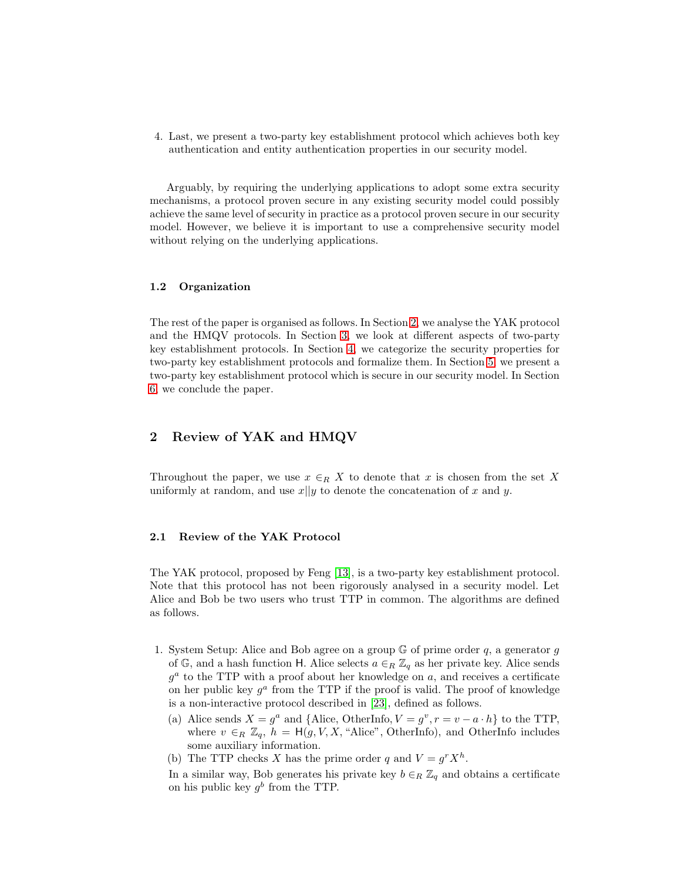4. Last, we present a two-party key establishment protocol which achieves both key authentication and entity authentication properties in our security model.

Arguably, by requiring the underlying applications to adopt some extra security mechanisms, a protocol proven secure in any existing security model could possibly achieve the same level of security in practice as a protocol proven secure in our security model. However, we believe it is important to use a comprehensive security model without relying on the underlying applications.

#### 1.2 Organization

The rest of the paper is organised as follows. In Section [2,](#page-2-0) we analyse the YAK protocol and the HMQV protocols. In Section [3,](#page-7-0) we look at different aspects of two-party key establishment protocols. In Section [4,](#page-10-0) we categorize the security properties for two-party key establishment protocols and formalize them. In Section [5,](#page-14-0) we present a two-party key establishment protocol which is secure in our security model. In Section [6,](#page-15-0) we conclude the paper.

# <span id="page-2-0"></span>2 Review of YAK and HMQV

Throughout the paper, we use  $x \in_R X$  to denote that x is chosen from the set X uniformly at random, and use  $x||y$  to denote the concatenation of x and y.

#### 2.1 Review of the YAK Protocol

The YAK protocol, proposed by Feng [\[13\]](#page-16-14), is a two-party key establishment protocol. Note that this protocol has not been rigorously analysed in a security model. Let Alice and Bob be two users who trust TTP in common. The algorithms are defined as follows.

- 1. System Setup: Alice and Bob agree on a group  $\mathbb G$  of prime order q, a generator q of G, and a hash function H. Alice selects  $a \in_R \mathbb{Z}_q$  as her private key. Alice sends  $g^a$  to the TTP with a proof about her knowledge on a, and receives a certificate on her public key  $g^a$  from the TTP if the proof is valid. The proof of knowledge is a non-interactive protocol described in [\[23\]](#page-17-6), defined as follows.
	- (a) Alice sends  $X = g^a$  and {Alice, OtherInfo,  $V = g^v, r = v a \cdot h$ } to the TTP, where  $v \in_R \mathbb{Z}_q$ ,  $h = H(g, V, X, "Alice", OtherInfo),$  and OtherInfo includes some auxiliary information.
	- (b) The TTP checks X has the prime order q and  $V = g<sup>r</sup> X<sup>h</sup>$ .
	- In a similar way, Bob generates his private key  $b \in_R \mathbb{Z}_q$  and obtains a certificate on his public key  $g^b$  from the TTP.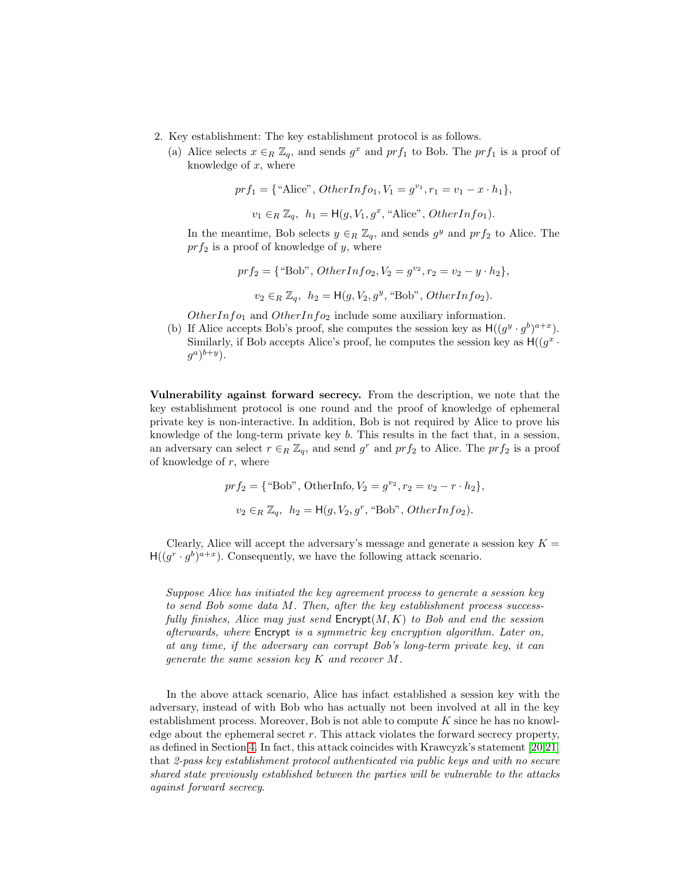- 2. Key establishment: The key establishment protocol is as follows.
	- (a) Alice selects  $x \in_R \mathbb{Z}_q$ , and sends  $g^x$  and  $prf_1$  to Bob. The  $prf_1$  is a proof of knowledge of  $x$ , where

$$
prf_1 = \{ "Alice", OtherInfo_1, V_1 = g^{v_1}, r_1 = v_1 - x \cdot h_1 \},
$$
  

$$
v_1 \in_R \mathbb{Z}_q, h_1 = H(g, V_1, g^x, "Alice", OtherInfo_1).
$$

In the meantime, Bob selects  $y \in_R \mathbb{Z}_q$ , and sends  $g^y$  and  $prf_2$  to Alice. The  $prf_2$  is a proof of knowledge of y, where

$$
prf_2 = \{ \text{``Bob''}, OtherInfo_2, V_2 = g^{v_2}, r_2 = v_2 - y \cdot h_2 \},\
$$

$$
v_2 \in_R \mathbb{Z}_q, h_2 = \mathsf{H}(g, V_2, g^y, \text{``Bob''}, OtherInfo_2).
$$

OtherInfo<sub>1</sub> and OtherInfo<sub>2</sub> include some auxiliary information.

(b) If Alice accepts Bob's proof, she computes the session key as  $H((g^y \cdot g^b)^{a+x})$ . Similarly, if Bob accepts Alice's proof, he computes the session key as  $H((g^x \cdot$  $(g^a)^{b+y}$ ).

Vulnerability against forward secrecy. From the description, we note that the key establishment protocol is one round and the proof of knowledge of ephemeral private key is non-interactive. In addition, Bob is not required by Alice to prove his knowledge of the long-term private key b. This results in the fact that, in a session, an adversary can select  $r \in_R \mathbb{Z}_q$ , and send  $g^r$  and  $prf_2$  to Alice. The  $prf_2$  is a proof of knowledge of  $r$ , where

$$
prf_2 = \{ \text{``Bob''}, \text{OtherInfo}, V_2 = g^{v_2}, r_2 = v_2 - r \cdot h_2 \},
$$
  

$$
v_2 \in_R \mathbb{Z}_q, h_2 = H(g, V_2, g^r, \text{``Bob''}, \text{OtherInfo}_2).
$$

Clearly, Alice will accept the adversary's message and generate a session key  $K =$  $H((g^r \cdot g^b)^{a+x})$ . Consequently, we have the following attack scenario.

Suppose Alice has initiated the key agreement process to generate a session key to send Bob some data M. Then, after the key establishment process successfully finishes, Alice may just send  $\mathsf{Encrypt}(M, K)$  to Bob and end the session afterwards, where Encrypt is a symmetric key encryption algorithm. Later on, at any time, if the adversary can corrupt Bob's long-term private key, it can generate the same session key K and recover M.

In the above attack scenario, Alice has infact established a session key with the adversary, instead of with Bob who has actually not been involved at all in the key establishment process. Moreover, Bob is not able to compute  $K$  since he has no knowledge about the ephemeral secret  $r$ . This attack violates the forward secrecy property, as defined in Section [4.](#page-10-0) In fact, this attack coincides with Krawcyzk's statement [\[20,](#page-17-4)[21\]](#page-17-5) that 2-pass key establishment protocol authenticated via public keys and with no secure shared state previously established between the parties will be vulnerable to the attacks against forward secrecy.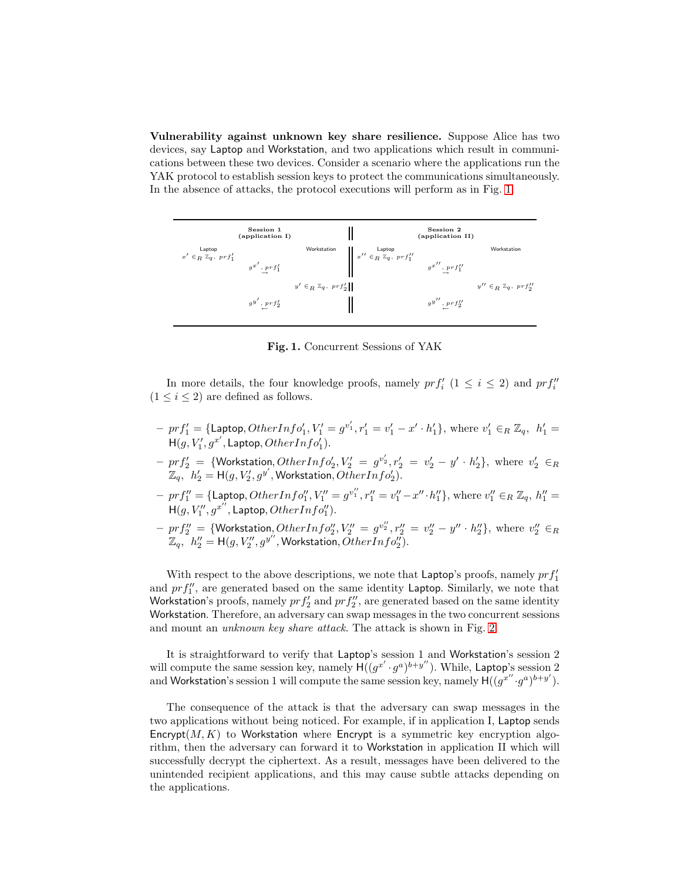Vulnerability against unknown key share resilience. Suppose Alice has two devices, say Laptop and Workstation, and two applications which result in communications between these two devices. Consider a scenario where the applications run the YAK protocol to establish session keys to protect the communications simultaneously. In the absence of attacks, the protocol executions will perform as in Fig. [1.](#page-4-0)



<span id="page-4-0"></span>Fig. 1. Concurrent Sessions of YAK

In more details, the four knowledge proofs, namely  $prf'_{i}$  ( $1 \leq i \leq 2$ ) and  $prf''_{i}$  $(1 \leq i \leq 2)$  are defined as follows.

- $p_r = \{ \text{Laptop}, OtherInfo'_1, V'_1 = g^{v'_1}, r'_1 = v'_1 x' \cdot h'_1 \}, where v'_1 \in_R \mathbb{Z}_q, h'_1 = h'_1 h'_2$  $\mathsf{H}(g,V'_1,g^{x'},\mathsf{Laptop},OtherInfo'_1).$
- $prf'_{2} = \{ \text{Workstation}, OtherInfo'_{2}, V'_{2} = g^{v'_{2}}, r'_{2} = v'_{2} y' \cdot h'_{2} \}, \text{ where } v'_{2} \in R$  $\mathbb{Z}_q$ ,  $h'_2 = H(g, V'_2, g^{y'},$  Workstation,  $\widehat{OtherInfo'_2}$ ).
- $p_{1} = \{ \text{Laptop}, OtherInfo''_{1}, V''_{1} = g^{v''_{1}}, r''_{1} = v''_{1} x'' \cdot h''_{1} \}, \text{ where } v''_{1} \in R \mathbb{Z}_{q}, h''_{1} = v''_{1} v''_{1} \cdot h''_{1} \}$  $H(g,V''_1,g^{x''},L$ aptop,  $OtherInfo''_1$ ).
- prf<sup>00</sup> <sup>2</sup> = {Workstation, OtherInfo<sup>00</sup> 2 , V <sup>00</sup> <sup>2</sup> = g v 00 <sup>2</sup> , r<sup>00</sup> <sup>2</sup> = v 00 <sup>2</sup> − y 00 · h 00 2 }, where v 00 <sup>2</sup> ∈<sup>R</sup>  $\mathbb{Z}_q$ ,  $h''_2 = \mathsf{H}(g,V''_2,g^{y''},$  Workstation,  $\tilde{O}$ ther $Info''_2$ ).

With respect to the above descriptions, we note that Laptop's proofs, namely  $prf_1'$ and  $prf''_1$ , are generated based on the same identity Laptop. Similarly, we note that Workstation's proofs, namely  $prf'_{2}$  and  $prf''_{2}$ , are generated based on the same identity Workstation. Therefore, an adversary can swap messages in the two concurrent sessions and mount an unknown key share attack. The attack is shown in Fig. [2.](#page-5-0)

It is straightforward to verify that Laptop's session 1 and Workstation's session 2 will compute the same session key, namely  $H((g^{x'} \cdot g^a)^{b+y''})$ . While, Laptop's session 2 and Workstation's session 1 will compute the same session key, namely  $H((g^{x''} \cdot g^a)^{b+y'})$ .

The consequence of the attack is that the adversary can swap messages in the two applications without being noticed. For example, if in application I, Laptop sends Encrypt $(M, K)$  to Workstation where Encrypt is a symmetric key encryption algorithm, then the adversary can forward it to Workstation in application II which will successfully decrypt the ciphertext. As a result, messages have been delivered to the unintended recipient applications, and this may cause subtle attacks depending on the applications.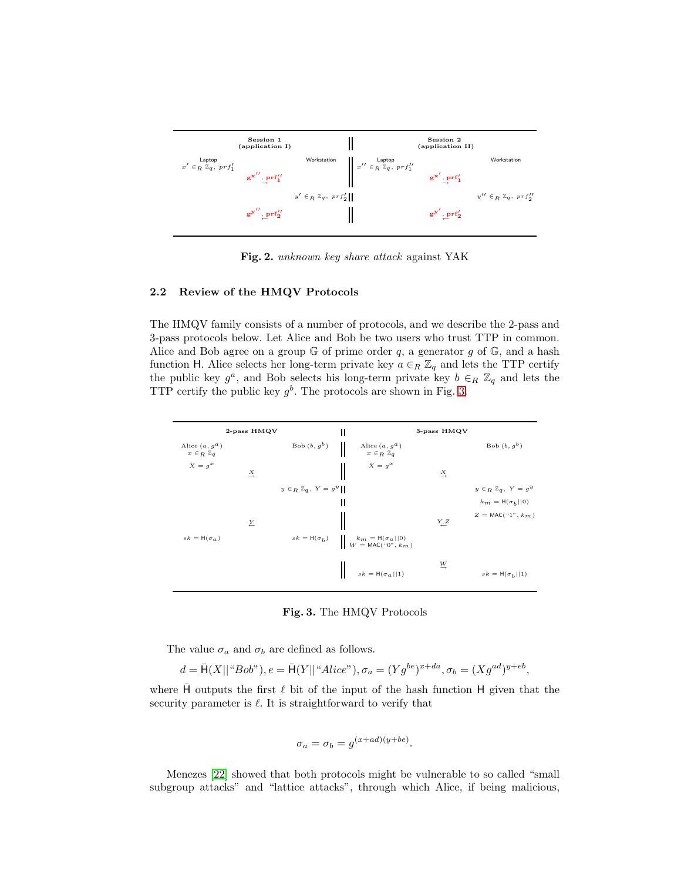

<span id="page-5-0"></span>Fig. 2. unknown key share attack against YAK

## 2.2 Review of the HMQV Protocols

The HMQV family consists of a number of protocols, and we describe the 2-pass and 3-pass protocols below. Let Alice and Bob be two users who trust TTP in common. Alice and Bob agree on a group  $\mathbb G$  of prime order q, a generator q of  $\mathbb G$ , and a hash function H. Alice selects her long-term private key  $a \in_R \mathbb{Z}_q$  and lets the TTP certify the public key  $g^a$ , and Bob selects his long-term private key  $b \in_R \mathbb{Z}_q$  and lets the TTP certify the public key  $g^b$ . The protocols are shown in Fig. [3.](#page-5-1)



<span id="page-5-1"></span>Fig. 3. The HMQV Protocols

The value  $\sigma_a$  and  $\sigma_b$  are defined as follows.

$$
d=\bar{\mathsf H}(X||``Bob"), e=\bar{\mathsf H}(Y||``Alice"), \sigma_a=(Yg^{be})^{x+da}, \sigma_b=(Xg^{ad})^{y+eb},
$$

where  $\bar{H}$  outputs the first  $\ell$  bit of the input of the hash function H given that the security parameter is  $\ell$ . It is straightforward to verify that

$$
\sigma_a = \sigma_b = g^{(x+ad)(y+be)}.
$$

Menezes [\[22\]](#page-17-7) showed that both protocols might be vulnerable to so called "small subgroup attacks" and "lattice attacks", through which Alice, if being malicious,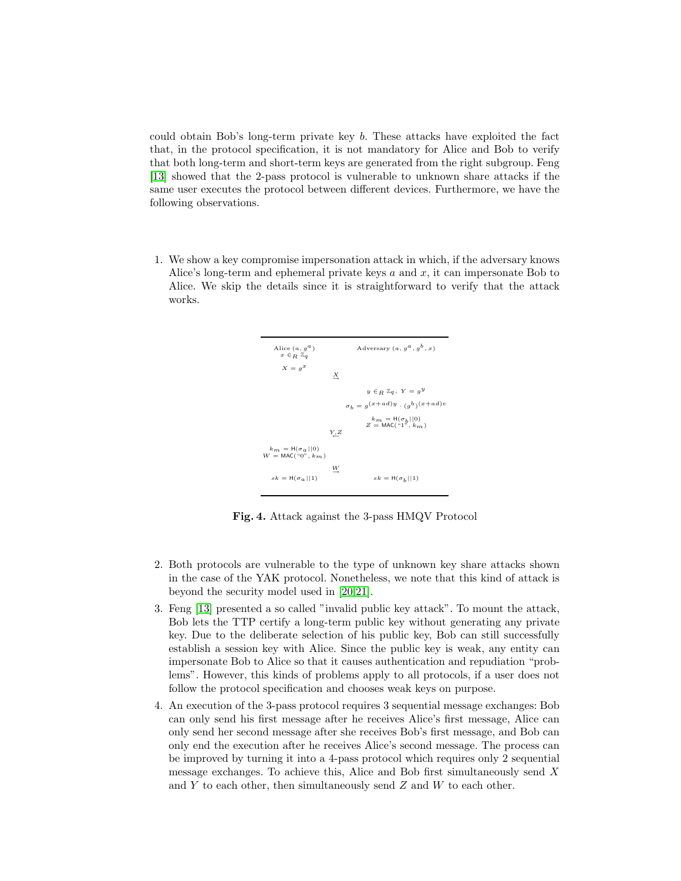could obtain Bob's long-term private key b. These attacks have exploited the fact that, in the protocol specification, it is not mandatory for Alice and Bob to verify that both long-term and short-term keys are generated from the right subgroup. Feng [\[13\]](#page-16-14) showed that the 2-pass protocol is vulnerable to unknown share attacks if the same user executes the protocol between different devices. Furthermore, we have the following observations.

1. We show a key compromise impersonation attack in which, if the adversary knows Alice's long-term and ephemeral private keys  $a$  and  $x$ , it can impersonate Bob to Alice. We skip the details since it is straightforward to verify that the attack works.



Fig. 4. Attack against the 3-pass HMQV Protocol

- 2. Both protocols are vulnerable to the type of unknown key share attacks shown in the case of the YAK protocol. Nonetheless, we note that this kind of attack is beyond the security model used in [\[20](#page-17-4)[,21\]](#page-17-5).
- 3. Feng [\[13\]](#page-16-14) presented a so called "invalid public key attack". To mount the attack, Bob lets the TTP certify a long-term public key without generating any private key. Due to the deliberate selection of his public key, Bob can still successfully establish a session key with Alice. Since the public key is weak, any entity can impersonate Bob to Alice so that it causes authentication and repudiation "problems". However, this kinds of problems apply to all protocols, if a user does not follow the protocol specification and chooses weak keys on purpose.
- 4. An execution of the 3-pass protocol requires 3 sequential message exchanges: Bob can only send his first message after he receives Alice's first message, Alice can only send her second message after she receives Bob's first message, and Bob can only end the execution after he receives Alice's second message. The process can be improved by turning it into a 4-pass protocol which requires only 2 sequential message exchanges. To achieve this, Alice and Bob first simultaneously send X and  $Y$  to each other, then simultaneously send  $Z$  and  $W$  to each other.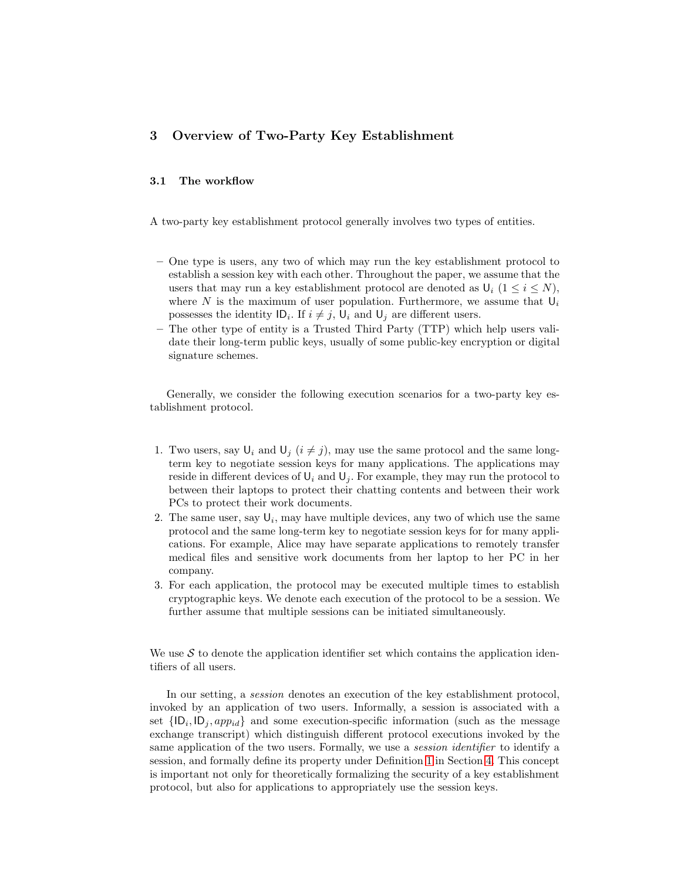# <span id="page-7-1"></span><span id="page-7-0"></span>3 Overview of Two-Party Key Establishment

# 3.1 The workflow

A two-party key establishment protocol generally involves two types of entities.

- One type is users, any two of which may run the key establishment protocol to establish a session key with each other. Throughout the paper, we assume that the users that may run a key establishment protocol are denoted as  $\mathbb{U}_i$  ( $1 \leq i \leq N$ ), where N is the maximum of user population. Furthermore, we assume that  $U_i$ possesses the identity  $ID_i$ . If  $i \neq j$ ,  $U_i$  and  $U_j$  are different users.
- The other type of entity is a Trusted Third Party (TTP) which help users validate their long-term public keys, usually of some public-key encryption or digital signature schemes.

Generally, we consider the following execution scenarios for a two-party key establishment protocol.

- 1. Two users, say  $\mathsf{U}_i$  and  $\mathsf{U}_j$   $(i \neq j)$ , may use the same protocol and the same longterm key to negotiate session keys for many applications. The applications may reside in different devices of  $U_i$  and  $U_j$ . For example, they may run the protocol to between their laptops to protect their chatting contents and between their work PCs to protect their work documents.
- 2. The same user, say  $\mathsf{U}_i$ , may have multiple devices, any two of which use the same protocol and the same long-term key to negotiate session keys for for many applications. For example, Alice may have separate applications to remotely transfer medical files and sensitive work documents from her laptop to her PC in her company.
- 3. For each application, the protocol may be executed multiple times to establish cryptographic keys. We denote each execution of the protocol to be a session. We further assume that multiple sessions can be initiated simultaneously.

We use  $S$  to denote the application identifier set which contains the application identifiers of all users.

In our setting, a session denotes an execution of the key establishment protocol, invoked by an application of two users. Informally, a session is associated with a set  $\{ |D_i, |D_j, app_{id}\}\$ and some execution-specific information (such as the message exchange transcript) which distinguish different protocol executions invoked by the same application of the two users. Formally, we use a *session identifier* to identify a session, and formally define its property under Definition [1](#page-10-1) in Section [4.](#page-10-0) This concept is important not only for theoretically formalizing the security of a key establishment protocol, but also for applications to appropriately use the session keys.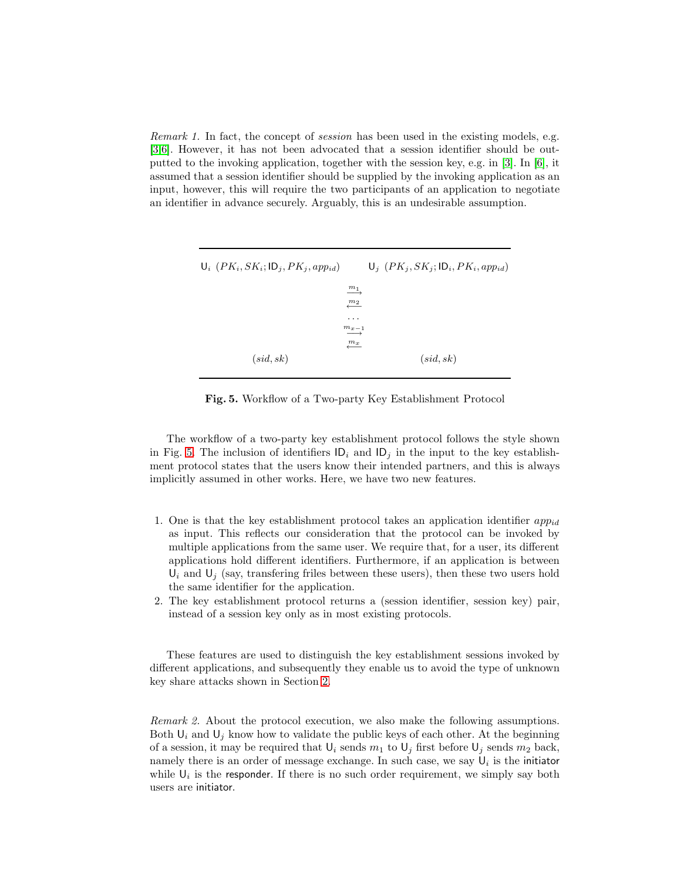Remark 1. In fact, the concept of session has been used in the existing models, e.g. [\[3,](#page-16-6)[6\]](#page-16-9). However, it has not been advocated that a session identifier should be outputted to the invoking application, together with the session key, e.g. in [\[3\]](#page-16-6). In [\[6\]](#page-16-9), it assumed that a session identifier should be supplied by the invoking application as an input, however, this will require the two participants of an application to negotiate an identifier in advance securely. Arguably, this is an undesirable assumption.

| $U_i$ $(PK_i, SK_i; ID_j, PK_j, app_{id})$ |                          |           | $\mathsf{U}_j$ $(PK_j, SK_j; \mathsf{ID}_i, PK_i, app_{id})$ |
|--------------------------------------------|--------------------------|-----------|--------------------------------------------------------------|
|                                            | m <sub>1</sub><br>—      |           |                                                              |
|                                            | $\frac{m_2}{\sqrt{m_1}}$ |           |                                                              |
|                                            | $\cdots$                 |           |                                                              |
|                                            | $m_{x-1}$<br>—           |           |                                                              |
|                                            | $\frac{m_x}{\sqrt{m}}$   |           |                                                              |
| (sid, sk)                                  |                          | (sid, sk) |                                                              |

<span id="page-8-0"></span>Fig. 5. Workflow of a Two-party Key Establishment Protocol

The workflow of a two-party key establishment protocol follows the style shown in Fig. [5.](#page-8-0) The inclusion of identifiers  $\mathsf{ID}_i$  and  $\mathsf{ID}_j$  in the input to the key establishment protocol states that the users know their intended partners, and this is always implicitly assumed in other works. Here, we have two new features.

- 1. One is that the key establishment protocol takes an application identifier  $app_{id}$ as input. This reflects our consideration that the protocol can be invoked by multiple applications from the same user. We require that, for a user, its different applications hold different identifiers. Furthermore, if an application is between  $U_i$  and  $U_j$  (say, transfering friles between these users), then these two users hold the same identifier for the application.
- 2. The key establishment protocol returns a (session identifier, session key) pair, instead of a session key only as in most existing protocols.

These features are used to distinguish the key establishment sessions invoked by different applications, and subsequently they enable us to avoid the type of unknown key share attacks shown in Section [2.](#page-2-0)

Remark 2. About the protocol execution, we also make the following assumptions. Both  $U_i$  and  $U_j$  know how to validate the public keys of each other. At the beginning of a session, it may be required that  $U_i$  sends  $m_1$  to  $U_j$  first before  $U_j$  sends  $m_2$  back, namely there is an order of message exchange. In such case, we say  $\mathsf{U}_i$  is the initiator while  $U_i$  is the responder. If there is no such order requirement, we simply say both users are initiator.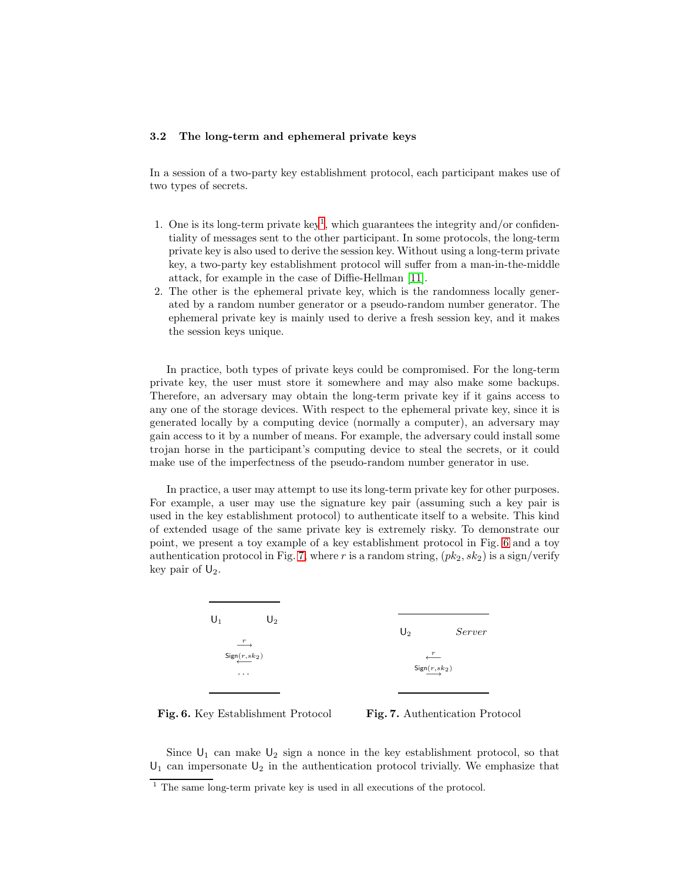#### 3.2 The long-term and ephemeral private keys

In a session of a two-party key establishment protocol, each participant makes use of two types of secrets.

- [1](#page-9-0). One is its long-term private key<sup>1</sup>, which guarantees the integrity and/or confidentiality of messages sent to the other participant. In some protocols, the long-term private key is also used to derive the session key. Without using a long-term private key, a two-party key establishment protocol will suffer from a man-in-the-middle attack, for example in the case of Diffie-Hellman [\[11\]](#page-16-0).
- 2. The other is the ephemeral private key, which is the randomness locally generated by a random number generator or a pseudo-random number generator. The ephemeral private key is mainly used to derive a fresh session key, and it makes the session keys unique.

In practice, both types of private keys could be compromised. For the long-term private key, the user must store it somewhere and may also make some backups. Therefore, an adversary may obtain the long-term private key if it gains access to any one of the storage devices. With respect to the ephemeral private key, since it is generated locally by a computing device (normally a computer), an adversary may gain access to it by a number of means. For example, the adversary could install some trojan horse in the participant's computing device to steal the secrets, or it could make use of the imperfectness of the pseudo-random number generator in use.

In practice, a user may attempt to use its long-term private key for other purposes. For example, a user may use the signature key pair (assuming such a key pair is used in the key establishment protocol) to authenticate itself to a website. This kind of extended usage of the same private key is extremely risky. To demonstrate our point, we present a toy example of a key establishment protocol in Fig. [6](#page-9-1) and a toy authentication protocol in Fig. [7,](#page-9-2) where r is a random string,  $(pk_2, sk_2)$  is a sign/verify key pair of  $\mathsf{U}_2$ .



<span id="page-9-1"></span>Fig. 6. Key Establishment Protocol

<span id="page-9-2"></span>

Since  $U_1$  can make  $U_2$  sign a nonce in the key establishment protocol, so that  $U_1$  can impersonate  $U_2$  in the authentication protocol trivially. We emphasize that

<span id="page-9-0"></span><sup>&</sup>lt;sup>1</sup> The same long-term private key is used in all executions of the protocol.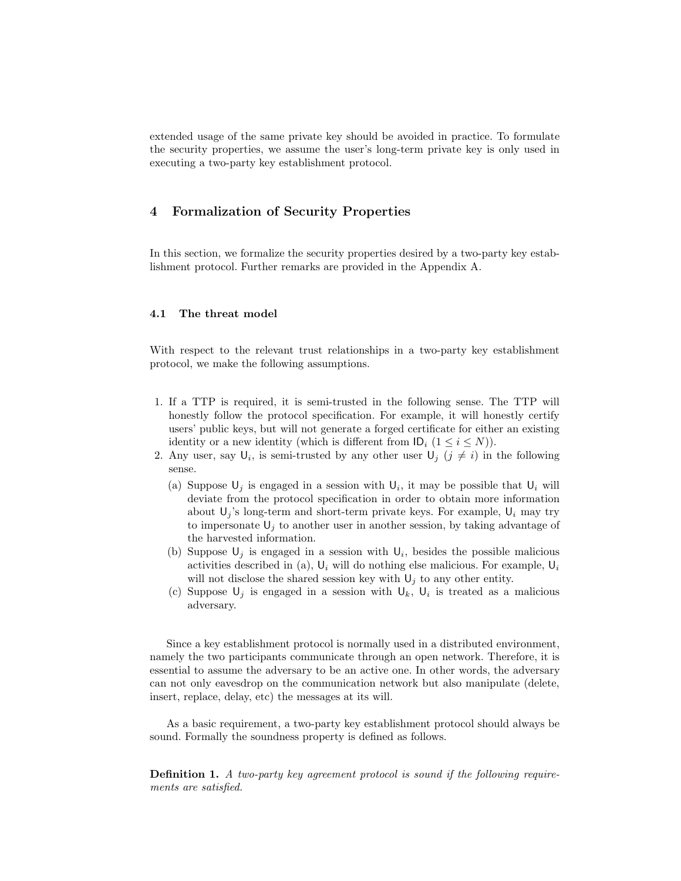extended usage of the same private key should be avoided in practice. To formulate the security properties, we assume the user's long-term private key is only used in executing a two-party key establishment protocol.

# <span id="page-10-0"></span>4 Formalization of Security Properties

In this section, we formalize the security properties desired by a two-party key establishment protocol. Further remarks are provided in the Appendix A.

#### 4.1 The threat model

With respect to the relevant trust relationships in a two-party key establishment protocol, we make the following assumptions.

- 1. If a TTP is required, it is semi-trusted in the following sense. The TTP will honestly follow the protocol specification. For example, it will honestly certify users' public keys, but will not generate a forged certificate for either an existing identity or a new identity (which is different from  $\mathsf{ID}_i$   $(1 \leq i \leq N)$ ).
- 2. Any user, say  $\mathsf{U}_i$ , is semi-trusted by any other user  $\mathsf{U}_j$   $(j \neq i)$  in the following sense.
	- (a) Suppose  $\mathsf{U}_j$  is engaged in a session with  $\mathsf{U}_i$ , it may be possible that  $\mathsf{U}_i$  will deviate from the protocol specification in order to obtain more information about  $U_j$ 's long-term and short-term private keys. For example,  $U_i$  may try to impersonate  $U_j$  to another user in another session, by taking advantage of the harvested information.
	- (b) Suppose  $\mathsf{U}_j$  is engaged in a session with  $\mathsf{U}_i$ , besides the possible malicious activities described in (a),  $U_i$  will do nothing else malicious. For example,  $U_i$ will not disclose the shared session key with  $U_i$  to any other entity.
	- (c) Suppose  $\mathsf{U}_j$  is engaged in a session with  $\mathsf{U}_k$ ,  $\mathsf{U}_i$  is treated as a malicious adversary.

Since a key establishment protocol is normally used in a distributed environment, namely the two participants communicate through an open network. Therefore, it is essential to assume the adversary to be an active one. In other words, the adversary can not only eavesdrop on the communication network but also manipulate (delete, insert, replace, delay, etc) the messages at its will.

<span id="page-10-1"></span>As a basic requirement, a two-party key establishment protocol should always be sound. Formally the soundness property is defined as follows.

Definition 1. A two-party key agreement protocol is sound if the following requirements are satisfied.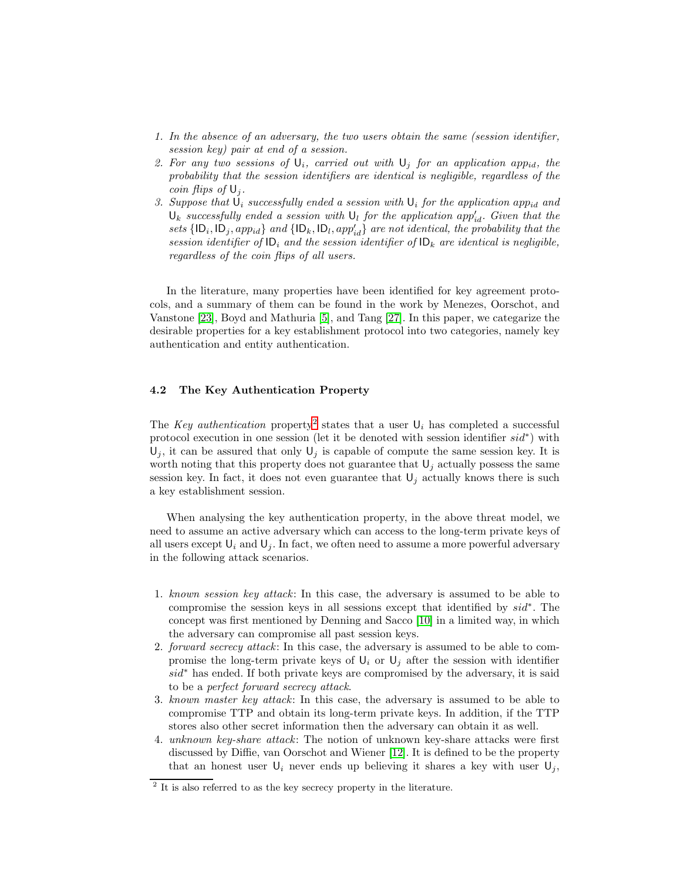- 1. In the absence of an adversary, the two users obtain the same (session identifier, session key) pair at end of a session.
- 2. For any two sessions of  $U_i$ , carried out with  $U_i$  for an application app<sub>id</sub>, the probability that the session identifiers are identical is negligible, regardless of the coin flips of  $\mathsf{U}_i$ .
- 3. Suppose that  $\mathsf{U}_i$  successfully ended a session with  $\mathsf{U}_i$  for the application app<sub>id</sub> and  $\mathsf{U}_k$  successfully ended a session with  $\mathsf{U}_l$  for the application app<sup> $\prime_{id}$ </sup>. Given that the sets  $\{ |D_i, |D_j, app_{id}\}$  and  $\{ |D_k, |D_l, app'_{id}\}$  are not identical, the probability that the session identifier of  $ID_i$  and the session identifier of  $ID_k$  are identical is negligible, regardless of the coin flips of all users.

In the literature, many properties have been identified for key agreement protocols, and a summary of them can be found in the work by Menezes, Oorschot, and Vanstone [\[23\]](#page-17-6), Boyd and Mathuria [\[5\]](#page-16-1), and Tang [\[27\]](#page-17-1). In this paper, we categarize the desirable properties for a key establishment protocol into two categories, namely key authentication and entity authentication.

### <span id="page-11-1"></span>4.2 The Key Authentication Property

The Key authentication property<sup>[2](#page-11-0)</sup> states that a user  $\mathsf{U}_i$  has completed a successful protocol execution in one session (let it be denoted with session identifier  $sid^*$ ) with  $U_j$ , it can be assured that only  $U_j$  is capable of compute the same session key. It is worth noting that this property does not guarantee that  $\mathsf{U}_j$  actually possess the same session key. In fact, it does not even guarantee that  $\mathsf{U}_i$  actually knows there is such a key establishment session.

When analysing the key authentication property, in the above threat model, we need to assume an active adversary which can access to the long-term private keys of all users except  $U_i$  and  $U_j$ . In fact, we often need to assume a more powerful adversary in the following attack scenarios.

- 1. known session key attack: In this case, the adversary is assumed to be able to compromise the session keys in all sessions except that identified by sid<sup>∗</sup> . The concept was first mentioned by Denning and Sacco [\[10\]](#page-16-15) in a limited way, in which the adversary can compromise all past session keys.
- 2. forward secrecy attack: In this case, the adversary is assumed to be able to compromise the long-term private keys of  $\mathsf{U}_i$  or  $\mathsf{U}_j$  after the session with identifier sid<sup>∗</sup> has ended. If both private keys are compromised by the adversary, it is said to be a perfect forward secrecy attack.
- 3. known master key attack: In this case, the adversary is assumed to be able to compromise TTP and obtain its long-term private keys. In addition, if the TTP stores also other secret information then the adversary can obtain it as well.
- 4. unknown key-share attack: The notion of unknown key-share attacks were first discussed by Diffie, van Oorschot and Wiener [\[12\]](#page-16-16). It is defined to be the property that an honest user  $U_i$  never ends up believing it shares a key with user  $U_j$ ,

<span id="page-11-0"></span><sup>&</sup>lt;sup>2</sup> It is also referred to as the key secrecy property in the literature.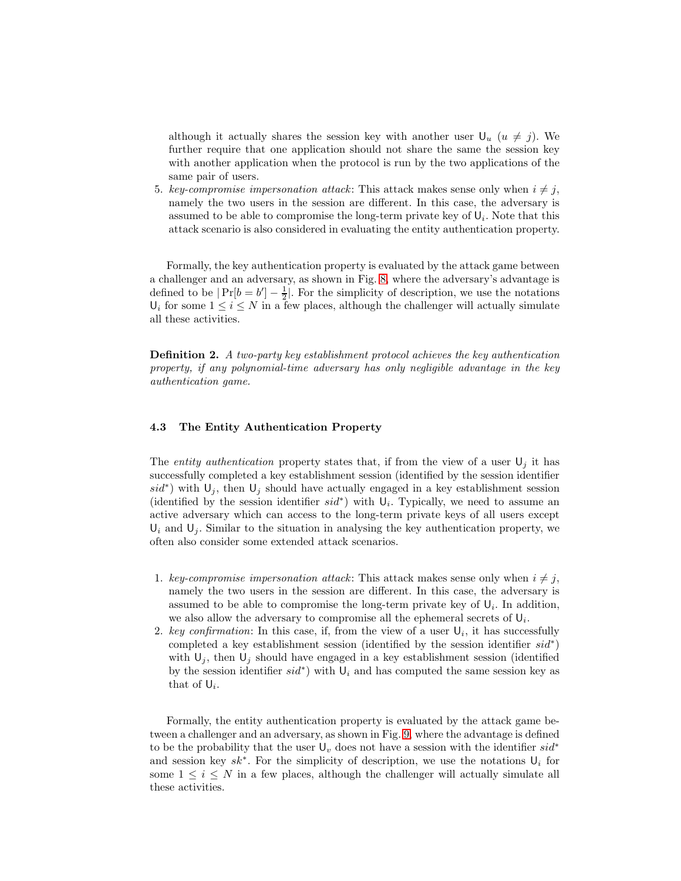although it actually shares the session key with another user  $\mathsf{U}_u$  ( $u \neq j$ ). We further require that one application should not share the same the session key with another application when the protocol is run by the two applications of the same pair of users.

5. key-compromise impersonation attack: This attack makes sense only when  $i \neq j$ , namely the two users in the session are different. In this case, the adversary is assumed to be able to compromise the long-term private key of  $\mathsf{U}_i$ . Note that this attack scenario is also considered in evaluating the entity authentication property.

Formally, the key authentication property is evaluated by the attack game between a challenger and an adversary, as shown in Fig. [8,](#page-13-0) where the adversary's advantage is defined to be  $|Pr[b = b'] - \frac{1}{2}|$ . For the simplicity of description, we use the notations  $U_i$  for some  $1 \leq i \leq N$  in a few places, although the challenger will actually simulate all these activities.

Definition 2. A two-party key establishment protocol achieves the key authentication property, if any polynomial-time adversary has only negligible advantage in the key authentication game.

#### <span id="page-12-0"></span>4.3 The Entity Authentication Property

The entity authentication property states that, if from the view of a user  $U_j$  it has successfully completed a key establishment session (identified by the session identifier  $sid^*$ ) with  $\mathsf{U}_j$ , then  $\mathsf{U}_j$  should have actually engaged in a key establishment session (identified by the session identifier  $sid^*$ ) with  $U_i$ . Typically, we need to assume an active adversary which can access to the long-term private keys of all users except  $U_i$  and  $U_j$ . Similar to the situation in analysing the key authentication property, we often also consider some extended attack scenarios.

- 1. key-compromise impersonation attack: This attack makes sense only when  $i \neq j$ , namely the two users in the session are different. In this case, the adversary is assumed to be able to compromise the long-term private key of  $U_i$ . In addition, we also allow the adversary to compromise all the ephemeral secrets of  $U_i$ .
- 2. key confirmation: In this case, if, from the view of a user  $\mathsf{U}_i$ , it has successfully completed a key establishment session (identified by the session identifier  $sid^*$ ) with  $U_j$ , then  $U_j$  should have engaged in a key establishment session (identified by the session identifier  $sid^*$ ) with  $\mathsf{U}_i$  and has computed the same session key as that of  $\mathsf{U}_i$ .

Formally, the entity authentication property is evaluated by the attack game between a challenger and an adversary, as shown in Fig. [9,](#page-13-1) where the advantage is defined to be the probability that the user  $U_v$  does not have a session with the identifier sid<sup>\*</sup> and session key  $sk^*$ . For the simplicity of description, we use the notations  $\mathsf{U}_i$  for some  $1 \leq i \leq N$  in a few places, although the challenger will actually simulate all these activities.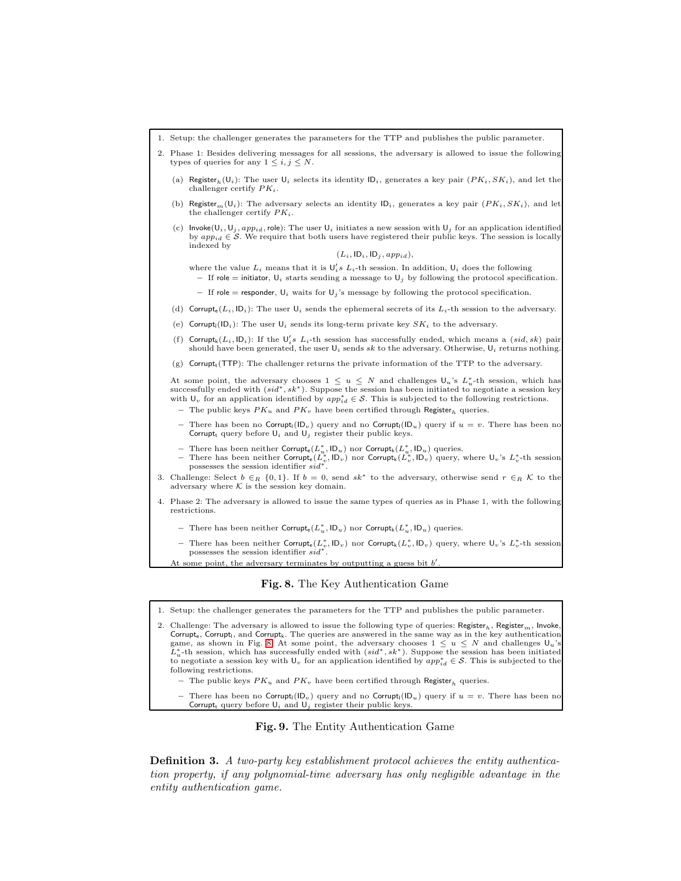

1. Setup: the challenger generates the parameters for the TTP and publishes the public parameter.

2. Challenge: The adversary is allowed to issue the following type of queries:  $Register_n$ ,  $Register_m$ , Invoke Corrupt<sub>e</sub>, Corrupt<sub>l</sub>, and Corrupt<sub>k</sub>. The queries are answered in the same way as in the key authentication game, as shown in Fig. [8.](#page-13-0) At some point, the adversary chooses  $1 \leq u \leq N$  and challenges  $\mathsf{U}_u$ 's  $\overline{L}_u^*$ -th session, which has successfully ended with  $(sid^*, sk^*)$ . Suppose the session has been initiated to negotiate a session key with  $\mathsf{U}_v$  for an application identified by  $app_{id}^* \in \mathcal{S}$ . This is subjected to the following restrictions.

– The public keys  $PK_u$  and  $PK_v$  have been certified through Register<sub>h</sub> queries.

– There has been no Corrupt<sub>l</sub>( $ID<sub>v</sub>$ ) query and no Corrupt<sub>l</sub>( $ID<sub>u</sub>$ ) query if  $u = v$ . There has been no Corrupt, query before  $U_i$  and  $U_j$  register their public keys.

<span id="page-13-1"></span><span id="page-13-0"></span>

Definition 3. A two-party key establishment protocol achieves the entity authentication property, if any polynomial-time adversary has only negligible advantage in the entity authentication game.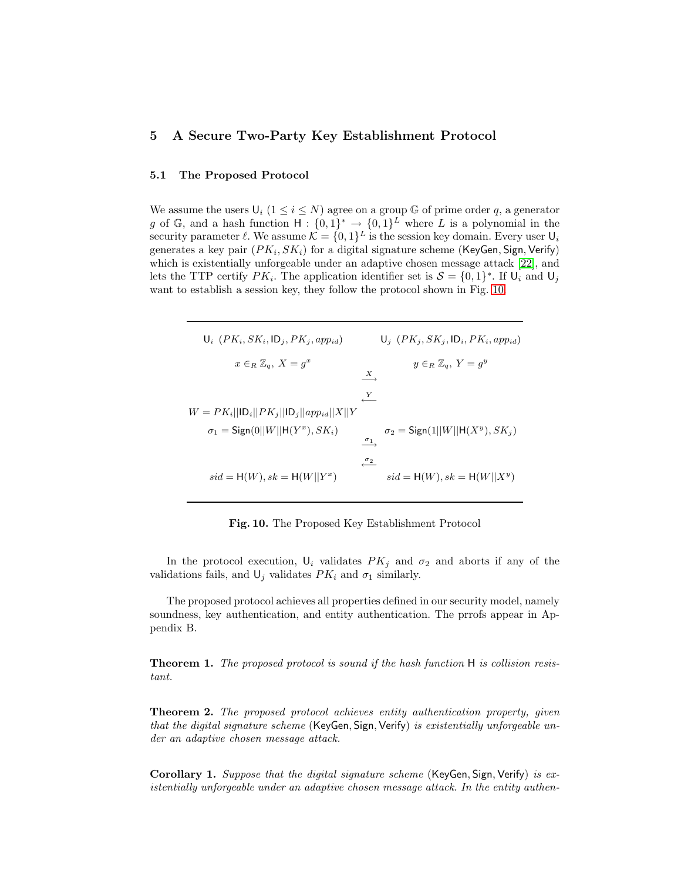# <span id="page-14-2"></span><span id="page-14-0"></span>5 A Secure Two-Party Key Establishment Protocol

#### 5.1 The Proposed Protocol

We assume the users  $\mathsf{U}_i$   $(1 \leq i \leq N)$  agree on a group G of prime order q, a generator g of G, and a hash function  $H: \{0,1\}^* \to \{0,1\}^L$  where L is a polynomial in the security parameter  $\ell$ . We assume  $\mathcal{K} = \{0, 1\}^L$  is the session key domain. Every user  $\mathsf{U}_i$ generates a key pair  $(PK_i, SK_i)$  for a digital signature scheme (KeyGen, Sign, Verify) which is existentially unforgeable under an adaptive chosen message attack [\[22\]](#page-17-7), and lets the TTP certify  $PK_i$ . The application identifier set is  $S = \{0, 1\}^*$ . If  $\mathsf{U}_i$  and  $\mathsf{U}_j$ want to establish a session key, they follow the protocol shown in Fig. [10.](#page-14-1)

 $\mathsf{U}_i$   $(PK_i, SK_i, \mathsf{ID}_j, PK_j, app_{id})$   $\mathsf{U}_j$   $(PK_j, SK_j, \mathsf{ID}_i, PK_i, app_{id})$  $x \in_R \mathbb{Z}_q$ ,  $X = g^x$  $y \in_R \mathbb{Z}_q$ ,  $Y = g^y$  $\bar{X}$  $\xleftarrow{Y}$  $W = PK_i||ID_i||PK_j||ID_j||app_{id}||X||Y$  $\sigma_1 = \mathsf{Sign}(0||W||\mathsf{H}(Y^x))$  $\sigma_2 = \mathsf{Sign}(1||W||\mathsf{H}(X^y), SK_j)$  $\xrightarrow{\sigma_1}$  $\frac{σ_2}{\sqrt{σ_2}}$  $sid = H(W), sk = H(W||Y^x)$ )  $sid = H(W), sk = H(W||X<sup>y</sup>)$ 

<span id="page-14-1"></span>Fig. 10. The Proposed Key Establishment Protocol

In the protocol execution,  $U_i$  validates  $PK_j$  and  $\sigma_2$  and aborts if any of the validations fails, and  $\mathsf{U}_j$  validates  $PK_i$  and  $\sigma_1$  similarly.

<span id="page-14-3"></span>The proposed protocol achieves all properties defined in our security model, namely soundness, key authentication, and entity authentication. The prrofs appear in Appendix B.

<span id="page-14-4"></span>Theorem 1. The proposed protocol is sound if the hash function H is collision resistant.

**Theorem 2.** The proposed protocol achieves entity authentication property, given that the digital signature scheme (KeyGen, Sign, Verify) is existentially unforgeable under an adaptive chosen message attack.

<span id="page-14-5"></span>Corollary 1. Suppose that the digital signature scheme (KeyGen, Sign, Verify) is existentially unforgeable under an adaptive chosen message attack. In the entity authen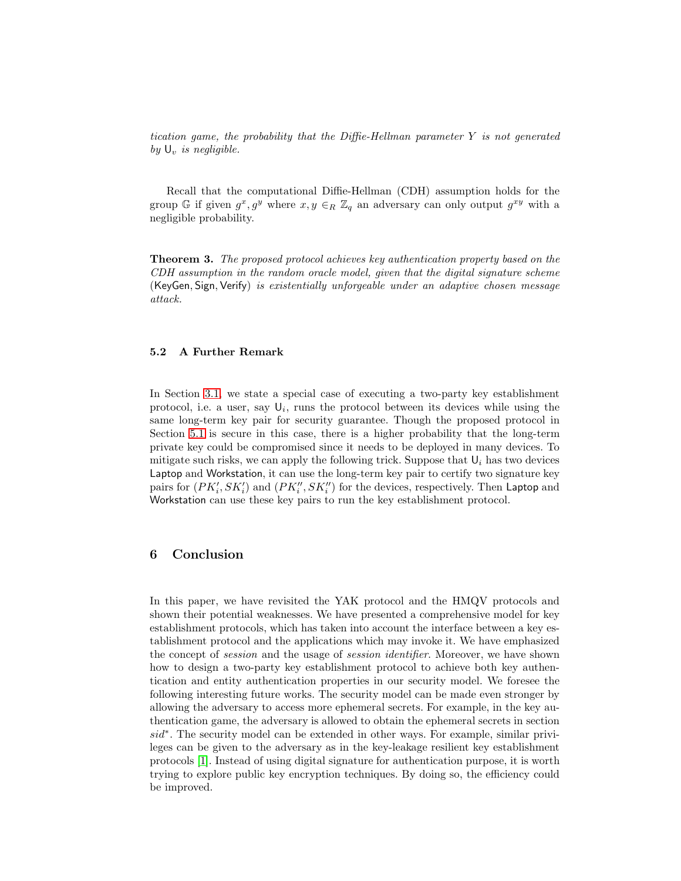tication game, the probability that the Diffie-Hellman parameter  $Y$  is not generated by  $\mathsf{U}_v$  is negligible.

<span id="page-15-1"></span>Recall that the computational Diffie-Hellman (CDH) assumption holds for the group G if given  $g^x, g^y$  where  $x, y \in_R \mathbb{Z}_q$  an adversary can only output  $g^{xy}$  with a negligible probability.

Theorem 3. The proposed protocol achieves key authentication property based on the CDH assumption in the random oracle model, given that the digital signature scheme (KeyGen, Sign, Verify) is existentially unforgeable under an adaptive chosen message attack.

#### 5.2 A Further Remark

In Section [3.1,](#page-7-1) we state a special case of executing a two-party key establishment protocol, i.e. a user, say  $\mathsf{U}_i$ , runs the protocol between its devices while using the same long-term key pair for security guarantee. Though the proposed protocol in Section [5.1](#page-14-2) is secure in this case, there is a higher probability that the long-term private key could be compromised since it needs to be deployed in many devices. To mitigate such risks, we can apply the following trick. Suppose that  $U_i$  has two devices Laptop and Workstation, it can use the long-term key pair to certify two signature key pairs for  $(PK_i', SK_i')$  and  $(PK_i'', SK_i'')$  for the devices, respectively. Then Laptop and Workstation can use these key pairs to run the key establishment protocol.

## <span id="page-15-0"></span>6 Conclusion

In this paper, we have revisited the YAK protocol and the HMQV protocols and shown their potential weaknesses. We have presented a comprehensive model for key establishment protocols, which has taken into account the interface between a key establishment protocol and the applications which may invoke it. We have emphasized the concept of session and the usage of session identifier. Moreover, we have shown how to design a two-party key establishment protocol to achieve both key authentication and entity authentication properties in our security model. We foresee the following interesting future works. The security model can be made even stronger by allowing the adversary to access more ephemeral secrets. For example, in the key authentication game, the adversary is allowed to obtain the ephemeral secrets in section sid<sup>\*</sup>. The security model can be extended in other ways. For example, similar privileges can be given to the adversary as in the key-leakage resilient key establishment protocols [\[1\]](#page-16-17). Instead of using digital signature for authentication purpose, it is worth trying to explore public key encryption techniques. By doing so, the efficiency could be improved.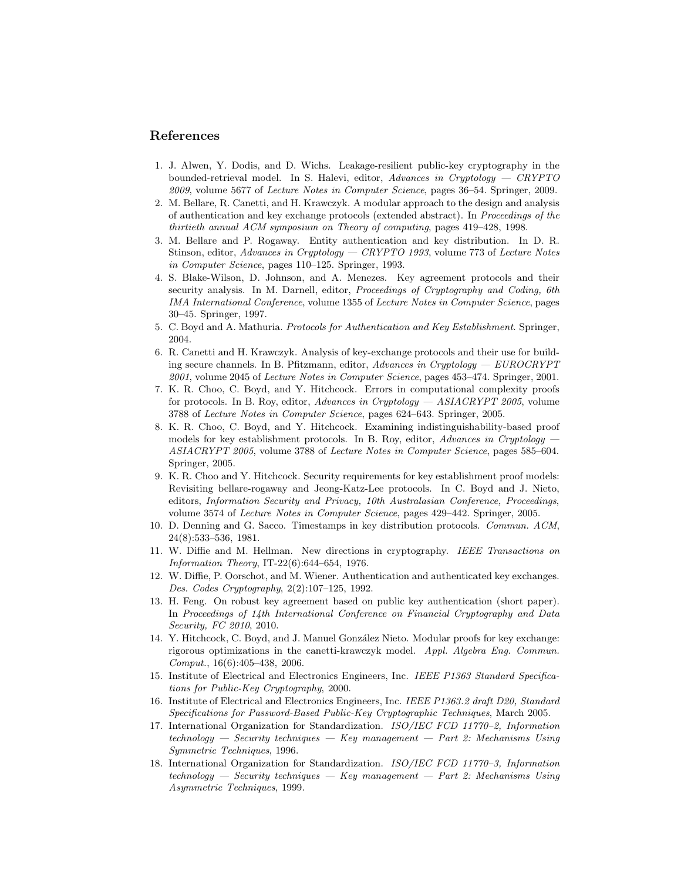## <span id="page-16-17"></span>References

- 1. J. Alwen, Y. Dodis, and D. Wichs. Leakage-resilient public-key cryptography in the bounded-retrieval model. In S. Halevi, editor, Advances in Cryptology — CRYPTO 2009, volume 5677 of Lecture Notes in Computer Science, pages 36–54. Springer, 2009.
- <span id="page-16-8"></span>2. M. Bellare, R. Canetti, and H. Krawczyk. A modular approach to the design and analysis of authentication and key exchange protocols (extended abstract). In Proceedings of the thirtieth annual ACM symposium on Theory of computing, pages 419–428, 1998.
- <span id="page-16-6"></span>3. M. Bellare and P. Rogaway. Entity authentication and key distribution. In D. R. Stinson, editor, Advances in Cryptology — CRYPTO 1993, volume 773 of Lecture Notes in Computer Science, pages 110–125. Springer, 1993.
- <span id="page-16-7"></span>4. S. Blake-Wilson, D. Johnson, and A. Menezes. Key agreement protocols and their security analysis. In M. Darnell, editor, Proceedings of Cryptography and Coding, 6th IMA International Conference, volume 1355 of Lecture Notes in Computer Science, pages 30–45. Springer, 1997.
- <span id="page-16-9"></span><span id="page-16-1"></span>5. C. Boyd and A. Mathuria. Protocols for Authentication and Key Establishment. Springer, 2004.
- 6. R. Canetti and H. Krawczyk. Analysis of key-exchange protocols and their use for building secure channels. In B. Pfitzmann, editor, Advances in Cryptology —  $EUROCRYPT$ 2001, volume 2045 of Lecture Notes in Computer Science, pages 453–474. Springer, 2001.
- <span id="page-16-11"></span>7. K. R. Choo, C. Boyd, and Y. Hitchcock. Errors in computational complexity proofs for protocols. In B. Roy, editor, Advances in Cryptology — ASIACRYPT 2005, volume 3788 of Lecture Notes in Computer Science, pages 624–643. Springer, 2005.
- <span id="page-16-12"></span>8. K. R. Choo, C. Boyd, and Y. Hitchcock. Examining indistinguishability-based proof models for key establishment protocols. In B. Roy, editor, Advances in Cryptology ASIACRYPT 2005, volume 3788 of Lecture Notes in Computer Science, pages 585–604. Springer, 2005.
- <span id="page-16-13"></span>9. K. R. Choo and Y. Hitchcock. Security requirements for key establishment proof models: Revisiting bellare-rogaway and Jeong-Katz-Lee protocols. In C. Boyd and J. Nieto, editors, Information Security and Privacy, 10th Australasian Conference, Proceedings, volume 3574 of Lecture Notes in Computer Science, pages 429–442. Springer, 2005.
- <span id="page-16-15"></span>10. D. Denning and G. Sacco. Timestamps in key distribution protocols. Commun. ACM, 24(8):533–536, 1981.
- <span id="page-16-0"></span>11. W. Diffie and M. Hellman. New directions in cryptography. IEEE Transactions on Information Theory, IT-22(6):644–654, 1976.
- <span id="page-16-16"></span>12. W. Diffie, P. Oorschot, and M. Wiener. Authentication and authenticated key exchanges. Des. Codes Cryptography, 2(2):107–125, 1992.
- <span id="page-16-14"></span>13. H. Feng. On robust key agreement based on public key authentication (short paper). In Proceedings of 14th International Conference on Financial Cryptography and Data Security, FC 2010, 2010.
- <span id="page-16-10"></span>14. Y. Hitchcock, C. Boyd, and J. Manuel González Nieto. Modular proofs for key exchange: rigorous optimizations in the canetti-krawczyk model. Appl. Algebra Eng. Commun.  $Comput., 16(6):405-438, 2006.$
- <span id="page-16-2"></span>15. Institute of Electrical and Electronics Engineers, Inc. IEEE P1363 Standard Specifications for Public-Key Cryptography, 2000.
- <span id="page-16-3"></span>16. Institute of Electrical and Electronics Engineers, Inc. IEEE P1363.2 draft D20, Standard Specifications for Password-Based Public-Key Cryptographic Techniques, March 2005.
- <span id="page-16-4"></span>17. International Organization for Standardization. ISO/IEC FCD 11770–2, Information technology — Security techniques — Key management — Part 2: Mechanisms Using Symmetric Techniques, 1996.
- <span id="page-16-5"></span>18. International Organization for Standardization. ISO/IEC FCD 11770–3, Information  $technology - Security techniques - Key management - Part 2: Mechanisms Using$ Asymmetric Techniques, 1999.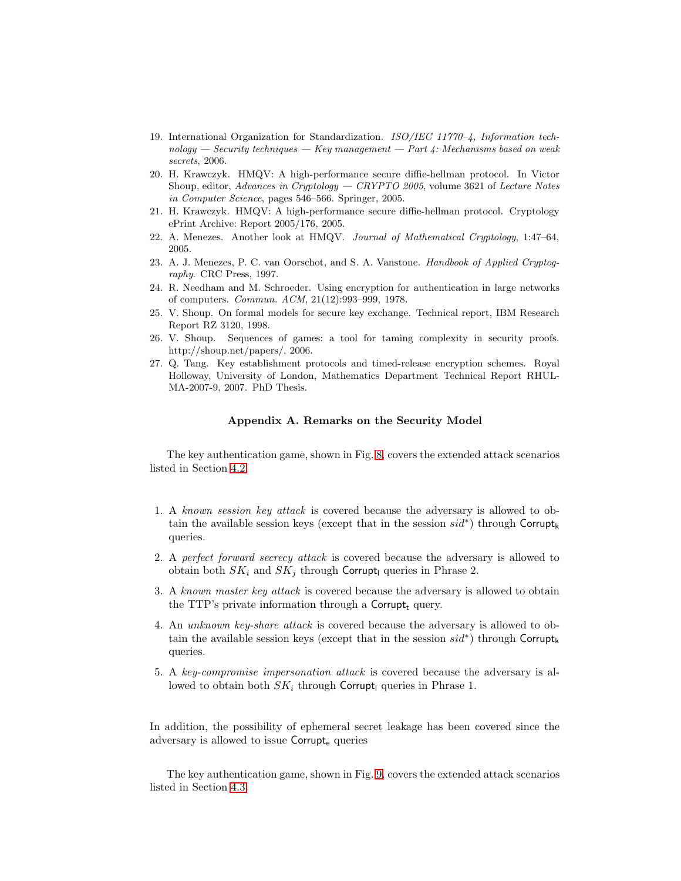- <span id="page-17-2"></span>19. International Organization for Standardization. ISO/IEC 11770–4, Information tech $nology - Security techniques - Key management - Part 4: Mechanisms based on weak$ secrets, 2006.
- <span id="page-17-4"></span>20. H. Krawczyk. HMQV: A high-performance secure diffie-hellman protocol. In Victor Shoup, editor, Advances in Cryptology — CRYPTO 2005, volume 3621 of Lecture Notes in Computer Science, pages 546–566. Springer, 2005.
- <span id="page-17-7"></span><span id="page-17-5"></span>21. H. Krawczyk. HMQV: A high-performance secure diffie-hellman protocol. Cryptology ePrint Archive: Report 2005/176, 2005.
- <span id="page-17-6"></span>22. A. Menezes. Another look at HMQV. Journal of Mathematical Cryptology, 1:47–64, 2005.
- 23. A. J. Menezes, P. C. van Oorschot, and S. A. Vanstone. Handbook of Applied Cryptography. CRC Press, 1997.
- <span id="page-17-3"></span><span id="page-17-0"></span>24. R. Needham and M. Schroeder. Using encryption for authentication in large networks of computers. Commun. ACM, 21(12):993–999, 1978.
- 25. V. Shoup. On formal models for secure key exchange. Technical report, IBM Research Report RZ 3120, 1998.
- <span id="page-17-8"></span>26. V. Shoup. Sequences of games: a tool for taming complexity in security proofs. http://shoup.net/papers/, 2006.
- <span id="page-17-1"></span>27. Q. Tang. Key establishment protocols and timed-release encryption schemes. Royal Holloway, University of London, Mathematics Department Technical Report RHUL-MA-2007-9, 2007. PhD Thesis.

#### Appendix A. Remarks on the Security Model

The key authentication game, shown in Fig. [8,](#page-13-0) covers the extended attack scenarios listed in Section [4.2.](#page-11-1)

- 1. A known session key attack is covered because the adversary is allowed to obtain the available session keys (except that in the session  $sid^*$ ) through Corrupt<sub>k</sub> queries.
- 2. A perfect forward secrecy attack is covered because the adversary is allowed to obtain both  $SK_i$  and  $SK_j$  through Corrupt<sub>l</sub> queries in Phrase 2.
- 3. A known master key attack is covered because the adversary is allowed to obtain the TTP's private information through a Corrupt<sub>t</sub> query.
- 4. An unknown key-share attack is covered because the adversary is allowed to obtain the available session keys (except that in the session  $sid^*$ ) through Corrupt<sub>k</sub> queries.
- 5. A key-compromise impersonation attack is covered because the adversary is allowed to obtain both  $SK_i$  through Corrupt<sub>l</sub> queries in Phrase 1.

In addition, the possibility of ephemeral secret leakage has been covered since the adversary is allowed to issue Corrupt<sub>e</sub> queries

The key authentication game, shown in Fig. [9,](#page-13-1) covers the extended attack scenarios listed in Section [4.3.](#page-12-0)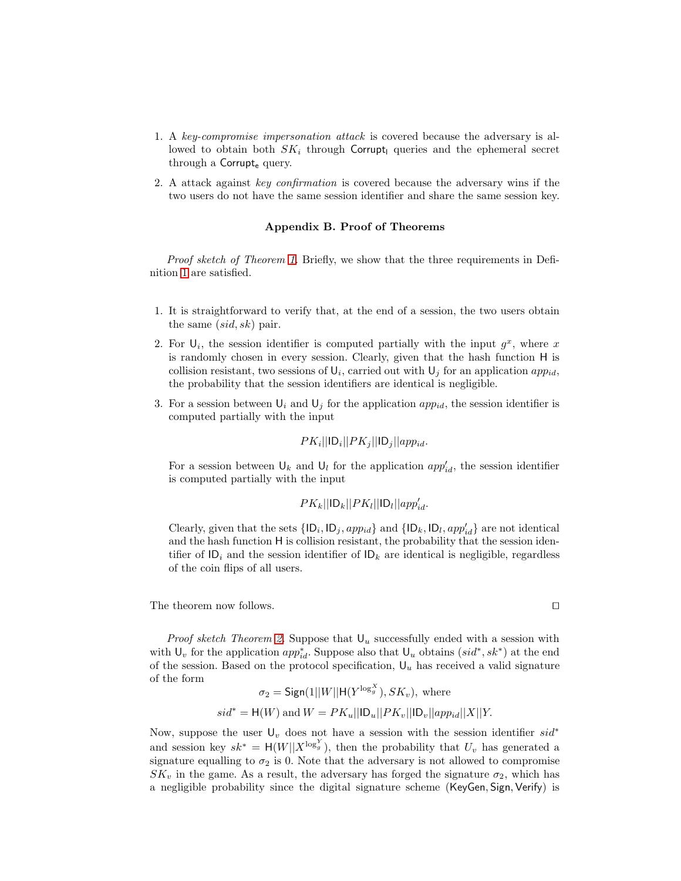- 1. A key-compromise impersonation attack is covered because the adversary is allowed to obtain both  $SK_i$  through Corrupt<sub>l</sub> queries and the ephemeral secret through a Corrupt<sub>e</sub> query.
- 2. A attack against key confirmation is covered because the adversary wins if the two users do not have the same session identifier and share the same session key.

#### Appendix B. Proof of Theorems

*Proof sketch of Theorem [1.](#page-14-3)* Briefly, we show that the three requirements in Definition [1](#page-10-1) are satisfied.

- 1. It is straightforward to verify that, at the end of a session, the two users obtain the same  $(sid, sk)$  pair.
- 2. For  $\mathsf{U}_i$ , the session identifier is computed partially with the input  $g^x$ , where x is randomly chosen in every session. Clearly, given that the hash function H is collision resistant, two sessions of  $\mathsf{U}_i$ , carried out with  $\mathsf{U}_j$  for an application  $app_{id}$ , the probability that the session identifiers are identical is negligible.
- 3. For a session between  $\mathsf{U}_i$  and  $\mathsf{U}_j$  for the application  $app_{id}$ , the session identifier is computed partially with the input

$$
PK_i||ID_i||PK_j||ID_j||app_{id}.
$$

For a session between  $\mathsf{U}_k$  and  $\mathsf{U}_l$  for the application  $app'_{id}$ , the session identifier is computed partially with the input

$$
PK_k||ID_k||PK_l||ID_l||app_{id}'.
$$

Clearly, given that the sets  $\{ |D_i, D_j, app_{id} \}$  and  $\{ |D_k, ID_l, app'_{id} \}$  are not identical and the hash function H is collision resistant, the probability that the session identifier of  $\mathsf{ID}_i$  and the session identifier of  $\mathsf{ID}_k$  are identical is negligible, regardless of the coin flips of all users.

The theorem now follows.  $\Box$ 

*Proof sketch Theorem [2.](#page-14-4)* Suppose that  $U_u$  successfully ended with a session with with  $\mathsf{U}_v$  for the application  $app_{id}^*$ . Suppose also that  $\mathsf{U}_u$  obtains  $(sid^*, sk^*)$  at the end of the session. Based on the protocol specification,  $U_u$  has received a valid signature of the form

$$
\sigma_2 = \text{Sign}(1||W||H(Y^{\log^X_{g}}), SK_v), \text{ where}
$$
  

$$
sid^* = H(W) \text{ and } W = PK_u||ID_u||PK_v||ID_v||app_{id}||X||Y.
$$

Now, suppose the user  $\mathsf{U}_v$  does not have a session with the session identifier  $sid^*$ and session key  $sk^* = H(W||X^{\log_y^Y})$ , then the probability that  $U_v$  has generated a signature equalling to  $\sigma_2$  is 0. Note that the adversary is not allowed to compromise  $SK_v$  in the game. As a result, the adversary has forged the signature  $\sigma_2$ , which has a negligible probability since the digital signature scheme (KeyGen, Sign, Verify) is